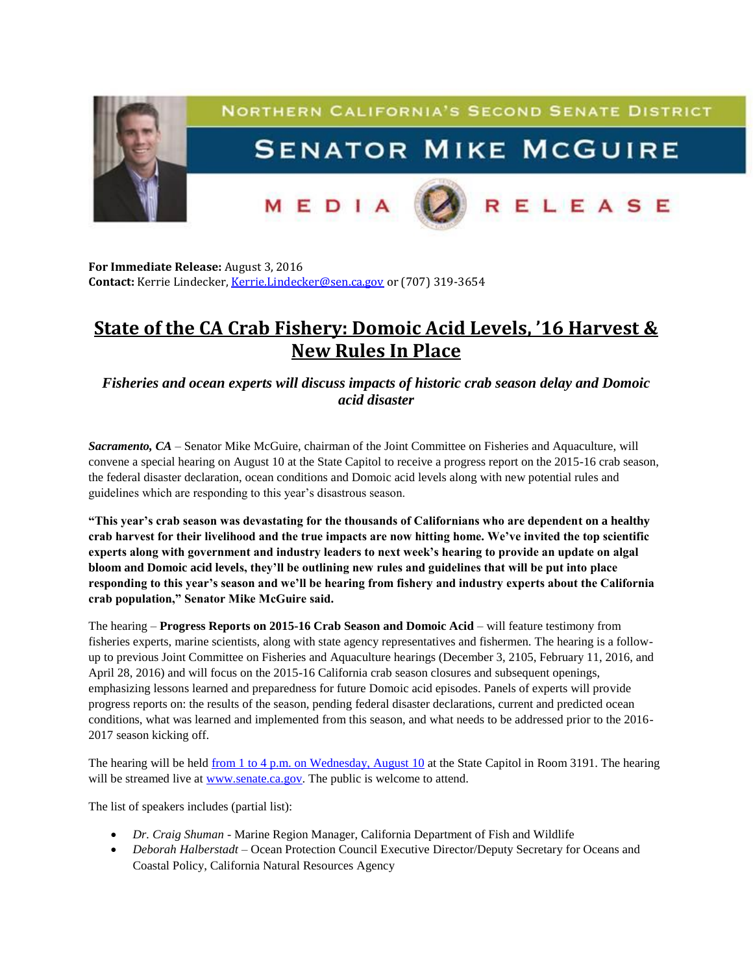

**For Immediate Release:** August 3, 2016 **Contact:** Kerrie Lindecker, [Kerrie.Lindecker@sen.ca.gov](mailto:Kerrie.Lindecker@sen.ca.gov) or (707) 319-3654

## **State of the CA Crab Fishery: Domoic Acid Levels, '16 Harvest & New Rules In Place**

*Fisheries and ocean experts will discuss impacts of historic crab season delay and Domoic acid disaster*

*Sacramento, CA* – Senator Mike McGuire, chairman of the Joint Committee on Fisheries and Aquaculture, will convene a special hearing [on August](x-apple-data-detectors://4/) 10 at the State Capitol to receive a progress report on the 2015-16 crab season, the federal disaster declaration, ocean conditions and Domoic acid levels along with new potential rules and guidelines which are responding to this year's disastrous season.

**"This year's crab season was devastating for the thousands of Californians who are dependent on a healthy crab harvest for their livelihood and the true impacts are now hitting home. We've invited the top scientific experts along with government and industry leaders to next week's hearing to provide an update on algal bloom and Domoic acid levels, they'll be outlining new rules and guidelines that will be put into place responding to this year's season and we'll be hearing from fishery and industry experts about the California crab population," Senator Mike McGuire said.**

The hearing – **Progress Reports on 2015-16 Crab Season and Domoic Acid** – will feature testimony from fisheries experts, marine scientists, along with state agency representatives and fishermen. The hearing is a followup to previous Joint Committee on Fisheries and Aquaculture hearings (December 3, 2105, February 11, 2016, and April 28, 2016) and will focus on the 2015-16 California crab season closures and subsequent openings, emphasizing lessons learned and preparedness for future Domoic acid episodes. Panels of experts will provide progress reports on: the results of the season, pending federal disaster declarations, current and predicted ocean conditions, what was learned and implemented from this season, and what needs to be addressed prior to the 2016- 2017 season kicking off.

The hearing will be held from 1 to 4 p.m. on Wednesday, August 10 at the State Capitol in Room 3191. The hearing will be streamed live at [www.senate.ca.gov.](http://www.senate.ca.gov/) The public is welcome to attend.

The list of speakers includes (partial list):

- *Dr. Craig Shuman -* Marine Region Manager, California Department of Fish and Wildlife
- *Deborah Halberstadt* Ocean Protection Council Executive Director/Deputy Secretary for Oceans and Coastal Policy, California Natural Resources Agency